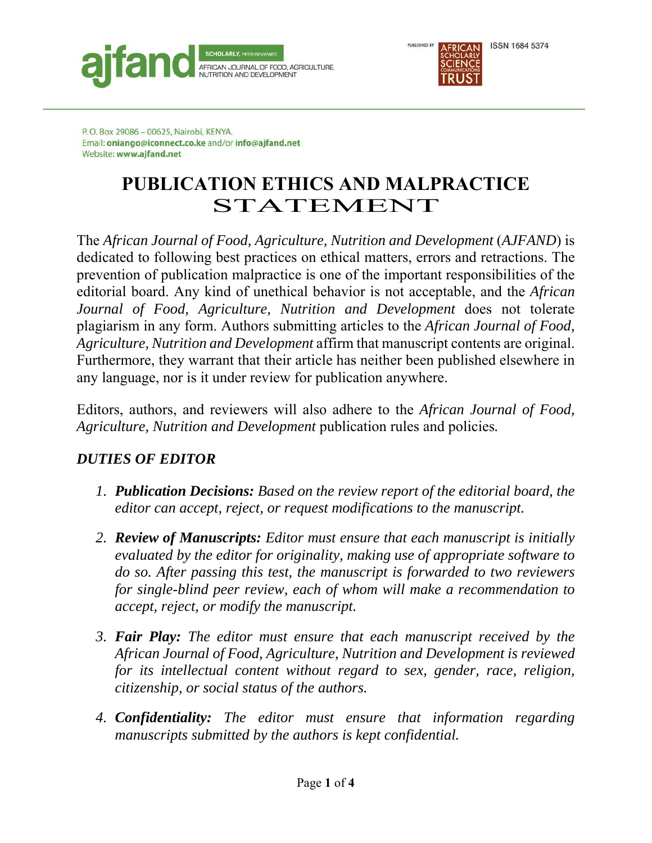



## **PUBLICATION ETHICS AND MALPRACTICE**  STATEMENT

The *African Journal of Food, Agriculture, Nutrition and Development (AJFAND)* is dedicated to following best practices on ethical matters, errors and retractions. The prevention of publication malpractice is one of the important responsibilities of the editorial board. Any kind of unethical behavior is not acceptable, and the *African Journal of Food, Agriculture, Nutrition and Development* does not tolerate plagiarism in any form. Authors submitting articles to the *African Journal of Food, Agriculture, Nutrition and Development* affirm that manuscript contents are original. Furthermore, they warrant that their article has neither been published elsewhere in any language, nor is it under review for publication anywhere.

Editors, authors, and reviewers will also adhere to the *African Journal of Food, Agriculture, Nutrition and Development* publication rules and policies*.*

## *DUTIES OF EDITOR*

- *1. Publication Decisions: Based on the review report of the editorial board, the editor can accept, reject, or request modifications to the manuscript.*
- *2. Review of Manuscripts: Editor must ensure that each manuscript is initially evaluated by the editor for originality, making use of appropriate software to do so. After passing this test, the manuscript is forwarded to two reviewers for single-blind peer review, each of whom will make a recommendation to accept, reject, or modify the manuscript.*
- *3. Fair Play: The editor must ensure that each manuscript received by the African Journal of Food, Agriculture, Nutrition and Development is reviewed for its intellectual content without regard to sex, gender, race, religion, citizenship, or social status of the authors.*
- *4. Confidentiality: The editor must ensure that information regarding manuscripts submitted by the authors is kept confidential.*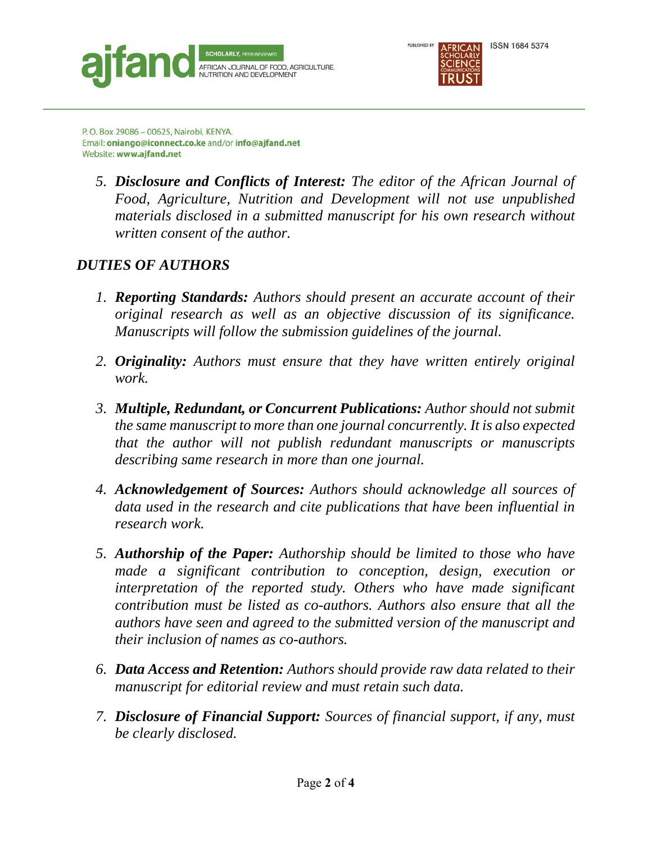



*5. Disclosure and Conflicts of Interest: The editor of the African Journal of Food, Agriculture, Nutrition and Development will not use unpublished materials disclosed in a submitted manuscript for his own research without written consent of the author.* 

## *DUTIES OF AUTHORS*

- *1. Reporting Standards: Authors should present an accurate account of their original research as well as an objective discussion of its significance. Manuscripts will follow the submission guidelines of the journal.*
- *2. Originality: Authors must ensure that they have written entirely original work.*
- *3. Multiple, Redundant, or Concurrent Publications: Author should not submit the same manuscript to more than one journal concurrently. It is also expected that the author will not publish redundant manuscripts or manuscripts describing same research in more than one journal.*
- *4. Acknowledgement of Sources: Authors should acknowledge all sources of data used in the research and cite publications that have been influential in research work.*
- *5. Authorship of the Paper: Authorship should be limited to those who have made a significant contribution to conception, design, execution or interpretation of the reported study. Others who have made significant contribution must be listed as co-authors. Authors also ensure that all the authors have seen and agreed to the submitted version of the manuscript and their inclusion of names as co-authors.*
- *6. Data Access and Retention: Authors should provide raw data related to their manuscript for editorial review and must retain such data.*
- *7. Disclosure of Financial Support: Sources of financial support, if any, must be clearly disclosed.*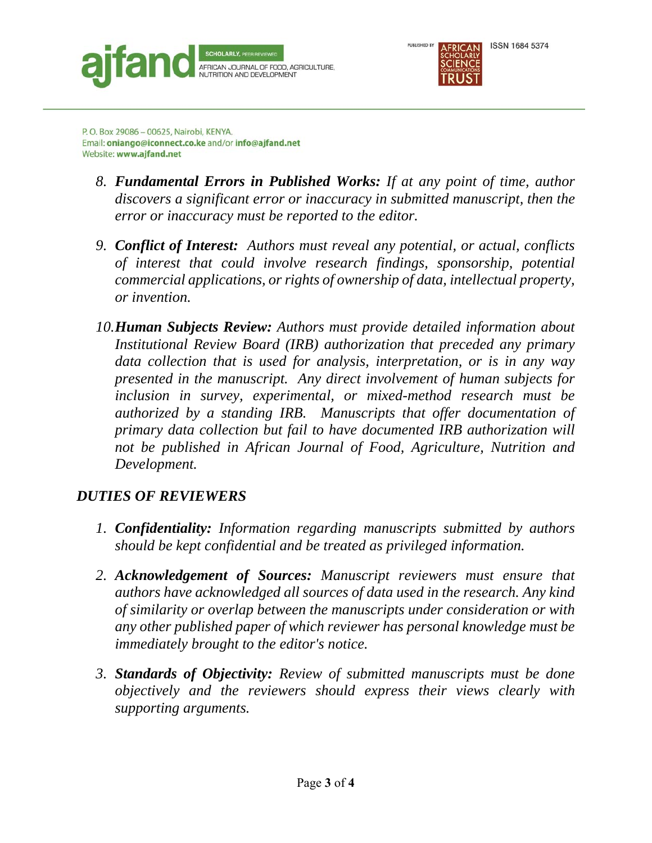



- *8. Fundamental Errors in Published Works: If at any point of time, author discovers a significant error or inaccuracy in submitted manuscript, then the error or inaccuracy must be reported to the editor.*
- *9. Conflict of Interest: Authors must reveal any potential, or actual, conflicts of interest that could involve research findings, sponsorship, potential commercial applications, or rights of ownership of data, intellectual property, or invention.*
- *10.Human Subjects Review: Authors must provide detailed information about Institutional Review Board (IRB) authorization that preceded any primary data collection that is used for analysis, interpretation, or is in any way presented in the manuscript. Any direct involvement of human subjects for inclusion in survey, experimental, or mixed-method research must be authorized by a standing IRB. Manuscripts that offer documentation of primary data collection but fail to have documented IRB authorization will not be published in African Journal of Food, Agriculture, Nutrition and Development.*

## *DUTIES OF REVIEWERS*

- *1. Confidentiality: Information regarding manuscripts submitted by authors should be kept confidential and be treated as privileged information.*
- *2. Acknowledgement of Sources: Manuscript reviewers must ensure that authors have acknowledged all sources of data used in the research. Any kind of similarity or overlap between the manuscripts under consideration or with any other published paper of which reviewer has personal knowledge must be immediately brought to the editor's notice.*
- *3. Standards of Objectivity: Review of submitted manuscripts must be done objectively and the reviewers should express their views clearly with supporting arguments.*